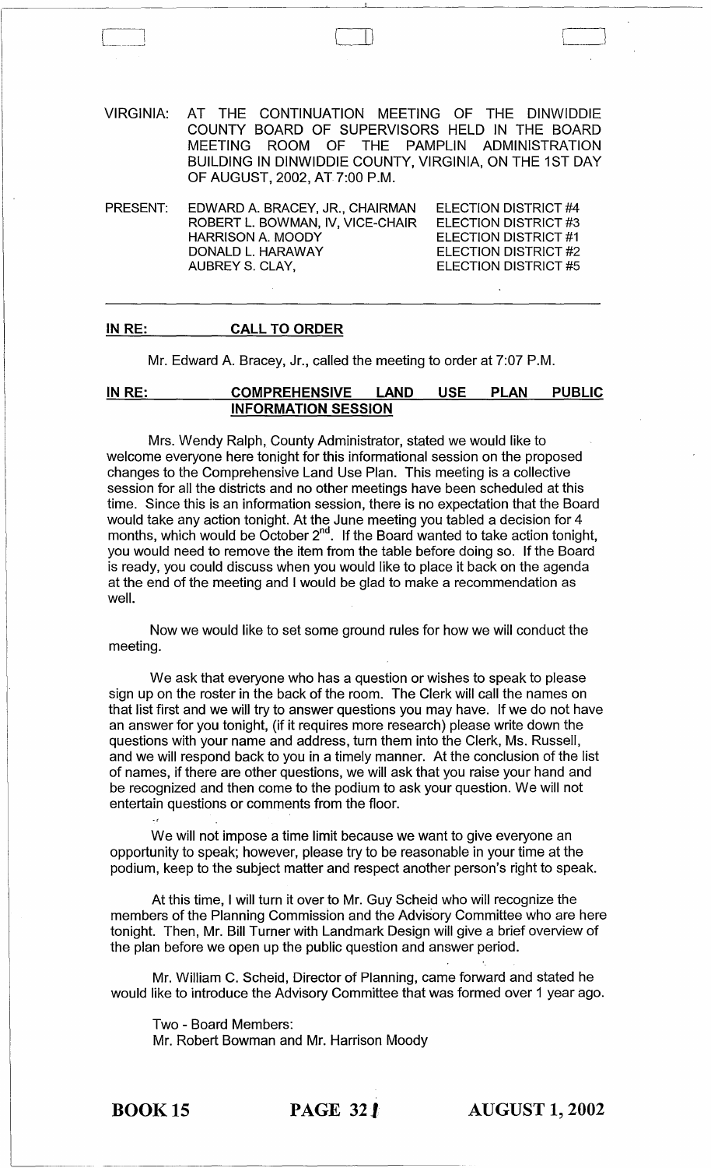VIRGINIA: AT THE CONTINUATION MEETING OF THE DINWIDDIE COUNTY BOARD OF SUPERVISORS HELD IN THE BOARD MEETING ROOM OF THE PAMPLIN ADMINISTRATION BUILDING IN DINWIDDIE COUNTY, VIRGINIA, ON THE 1ST DAY OF AUGUST, 2002, AT 7:00 P.M.

 $\Box$ 

PRESENT: EDWARD A. BRACEY, JR., CHAIRMAN ROBERT L. BOWMAN, IV, VICE-CHAIR HARRISON A. MOODY DONALD L. HARAWAY AUBREY S. CLAY, ELECTION DISTRICT #4 ELECTION DISTRICT #3 ELECTION DISTRICT #1 ELECTION DISTRICT #2 ELECTION DISTRICT #5

#### IN RE: CALL TO ORDER

Mr. Edward A. Bracey, Jr., called the meeting to order at 7:07 P.M.

#### IN RE: COMPREHENSNE LAND USE PLAN PUBLIC INFORMATION SESSION

Mrs. Wendy Ralph, County Administrator, stated we would like to welcome everyone here tonight for this informational session on the proposed changes to the Comprehensive Land Use Plan. This meeting is a collective session for all the districts and no other meetings have been scheduled at this time. Since this is an information session, there is no expectation that the Board would take any action tonight. At the June meeting you tabled a decision for 4 months, which would be October 2<sup>nd</sup>. If the Board wanted to take action tonight, you would need to remove the item from the table before doing so. If the Board is ready, you could discuss when you would like to place it back on the agenda at the end of the meeting and I would be glad to make a recommendation as well.

Now we would like to set some ground rules for how we will conduct the meeting.

We ask that everyone who has a question or wishes to speak to please sign up on the roster in the back of the room. The Clerk will call the names on that list first and we will try to answer questions you may have. If we do not have an answer for you tonight, (if it requires more research) please write down the questions with your name and address, turn them into the Clerk, Ms. Russell, and we will respond back to you in a timely manner. At the conclusion of the list of names, if there are other questions, we will ask that you raise your hand and be recognized and then come to the podium to ask your question. We will not entertain questions or comments from the floor.

We will not impose a time limit because we want to give everyone an opportunity to speak; however, please try to be reasonable in your time at the podium, keep to the subject matter and respect another person's right to speak.

At this time, I will turn it over to Mr. Guy Scheid who will recognize the members of the Planning Commission and the Advisory Committee who are here tonight. Then, Mr. Bill Turner with Landmark Design will give a brief overview of the plan before we open up the public question and answer period.

Mr. William C. Scheid, Director of Planning, came forward and stated he would like to introduce the Advisory Committee that was formed over 1 year ago.

Two - Board Members: Mr. Robert Bowman and Mr. Harrison Moody

BOOK 15 PAGE 321 AUGUST 1, 2002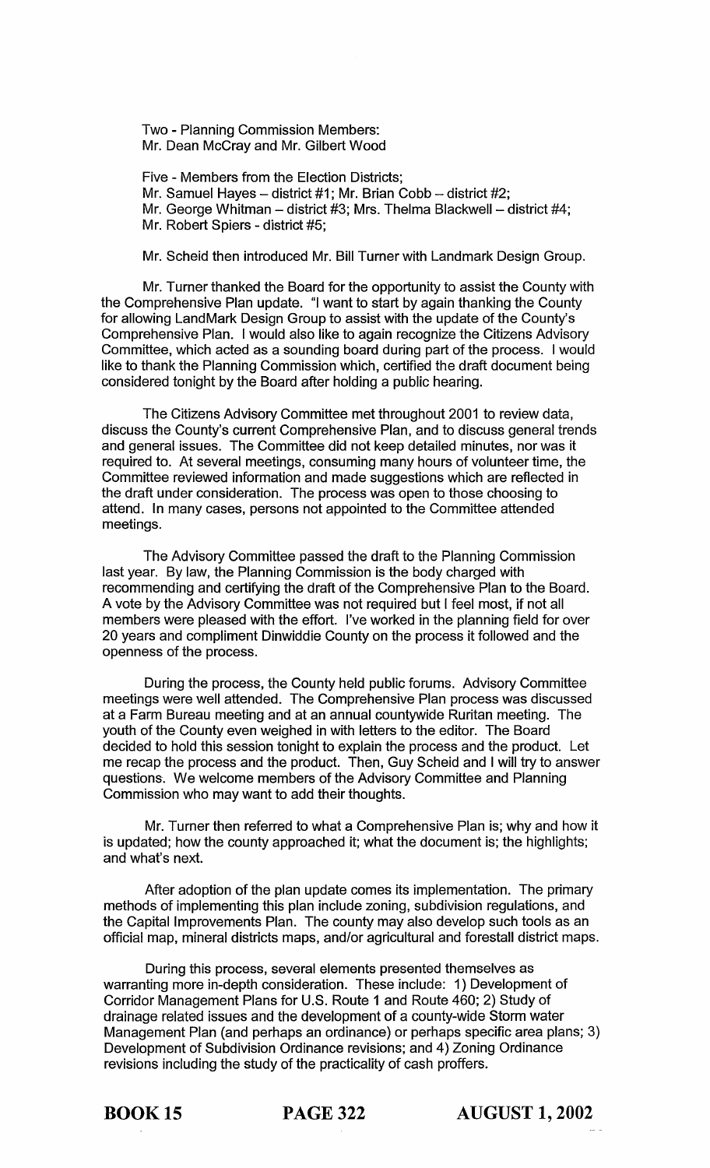Two - Planning Commission Members: Mr. Dean McCray and Mr. Gilbert Wood

Five - Members from the Election Districts;

Mr. Samuel Hayes - district  $#1$ : Mr. Brian Cobb - district  $#2$ :

Mr. George Whitman - district #3; Mrs. Thelma Blackwell - district #4;

Mr. Robert Spiers - district #5;

Mr. Scheid then introduced Mr. Bill Turner with Landmark Design Group.

Mr. Turner thanked the Board for the opportunity to assist the County with the Comprehensive Plan update. "I want to start by again thanking the County for allowing LandMark Design Group to assist with the update of the County's Comprehensive Plan. I would also like to again recognize the Citizens Advisory Committee, which acted as a sounding board during part of the process. I would like to thank the Planning Commission which, certified the draft document being considered tonight by the Board after holding a public hearing.

The Citizens Advisory Committee met throughout 2001 to review data, discuss the County's current Comprehensive Plan, and to discuss general trends and general issues. The Committee did not keep detailed minutes, nor was it required to. At several meetings, consuming many hours of volunteer time, the Committee reviewed information and made suggestions which are reflected in the draft under consideration. The process was open to those choosing to attend. In many cases, persons not appointed to the Committee attended meetings.

The Advisory Committee passed the draft to the Planning Commission last year. By law, the Planning Commission is the body charged with recommending and certifying the draft of the Comprehensive Plan to the Board. A vote by the Advisory Committee was not required but I feel most, if not all members were pleased with the effort. I've worked in the planning field for over 20 years and compliment Dinwiddie County on the process it followed and the openness of the process.

During the process, the County held public forums. Advisory Committee meetings were well attended. The Comprehensive Plan process was discussed at a Farm Bureau meeting and at an annual countywide Ruritan meeting. The youth of the County even weighed in with letters to the editor. The Board decided to hold this session tonight to explain the process and the product. Let me recap the process and the product. Then, Guy Scheid and I will try to answer questions. We welcome members of the Advisory Committee and Planning Commission who may want to add their thoughts.

Mr. Turner then referred to what a Comprehensive Plan is; why and how it is updated; how the county approached it; what the document is; the highlights; and what's next.

After adoption of the plan update comes its implementation. The primary methods of implementing this plan include zoning, subdivision regulations, and the Capital Improvements Plan. The county may also develop such tools as an official map, mineral districts maps, and/or agricultural and forestall district maps.

During this process, several elements presented themselves as warranting more in-depth consideration. These include: 1) Development of Corridor Management Plans for U.S. Route 1 and Route 460; 2) Study of drainage related issues and the development of a county-wide Storm water Management Plan (and perhaps an ordinance) or perhaps specific area plans; 3) Development of Subdivision Ordinance revisions; and 4) Zoning Ordinance revisions including the study of the practicality of cash proffers.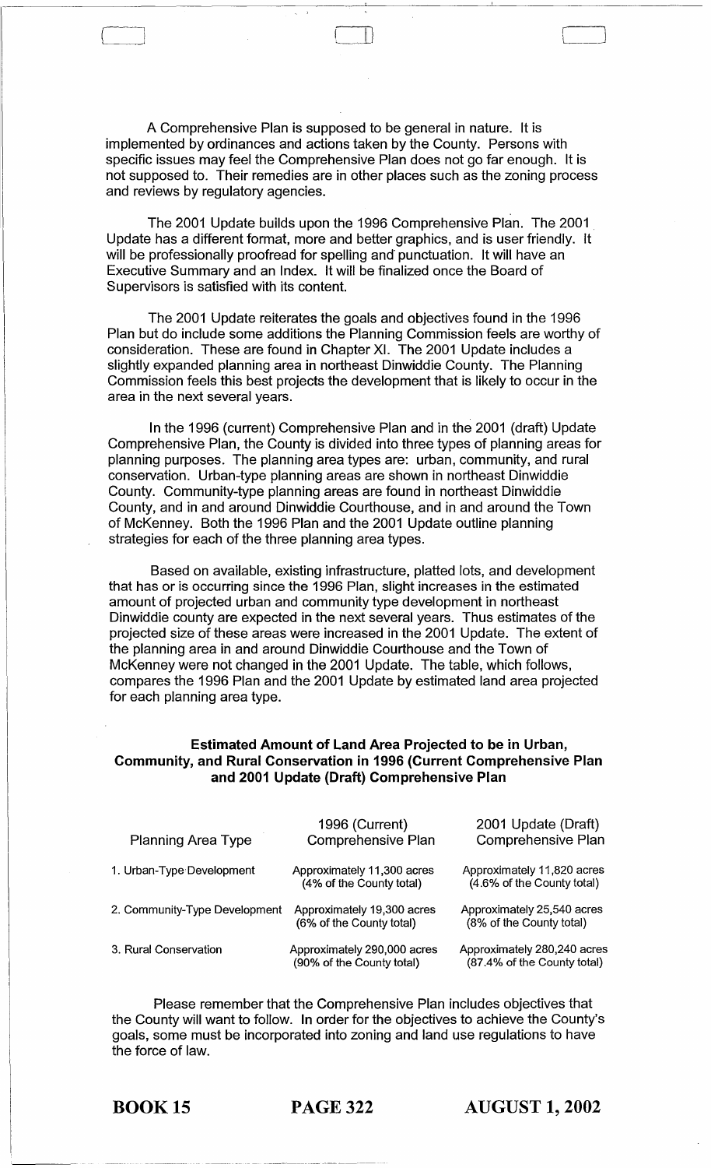A Comprehensive Plan is supposed to be general in nature. It is implemented by ordinances and actions taken by the County. Persons with specific issues may feel the Comprehensive Plan does not go far enough. It is not supposed to. Their remedies are in other places such as the zoning process and reviews by regulatory agencies.

 $\Box$ 

The 2001 Update builds upon the 1996 Comprehensive Plan. The 2001 Update has a different format, more and better graphics, and is user friendly. It will be professionally proofread for spelling and punctuation. It will have an Executive Summary and an Index. It will be finalized once the Board of Supervisors is satisfied with its content.

The 2001 Update reiterates the goals and objectives found in the 1996 Plan but do include some additions the Planning Commission feels are worthy of consideration. These are found in Chapter XI. The 2001 Update includes a slightly expanded planning area in northeast Dinwiddie County. The Planning Commission feels this best projects the development that is likely to occur in the area in the next several years.

In the 1996 (current) Comprehensive Plan and in the 2001 (draft) Update Comprehensive Plan, the County is divided into three types of planning areas for planning purposes. The planning area types are: urban, community, and rural conservation. Urban-type planning areas are shown in northeast Dinwiddie County. Community-type planning areas are found in northeast Dinwiddie County, and in and around Dinwiddie Courthouse, and in and around the Town of McKenney. Both the 1996 Plan and the 2001 Update outline planning strategies for each of the three planning area types.

Based on available, existing infrastructure, platted lots, and development that has or is occurring since the 1996 Plan, slight increases in the estimated amount of projected urban and community type development in northeast Dinwiddie county are expected in the next several years. Thus estimates of the projected size of these areas were increased in the 2001 Update. The extent of the planning area in and around Dinwiddie Courthouse and the Town of McKenney were not changed in the 2001 Update. The table, which follows, compares the 1996 Plan and the 2001 Update by estimated land area projected for each planning area type.

#### Estimated Amount of Land Area Projected to be in Urban, Community, and Rural Conservation in 1996 (Current Comprehensive Plan and 2001 Update (Draft) Comprehensive Plan

| <b>Planning Area Type</b>     | 1996 (Current)<br><b>Comprehensive Plan</b>              | 2001 Update (Draft)<br>Comprehensive Plan                  |
|-------------------------------|----------------------------------------------------------|------------------------------------------------------------|
| 1. Urban-Type Development     | Approximately 11,300 acres<br>(4% of the County total)   | Approximately 11,820 acres<br>(4.6% of the County total)   |
| 2. Community-Type Development | Approximately 19,300 acres<br>(6% of the County total)   | Approximately 25,540 acres<br>(8% of the County total)     |
| 3. Rural Conservation         | Approximately 290,000 acres<br>(90% of the County total) | Approximately 280,240 acres<br>(87.4% of the County total) |

Please remember that the Comprehensive Plan includes objectives that the County will want to follow. In order for the objectives to achieve the County's goals, some must be incorporated into zoning and land use regulations to have the force of law.

BOOK 15 PAGE 322 AUGUST 1, 2002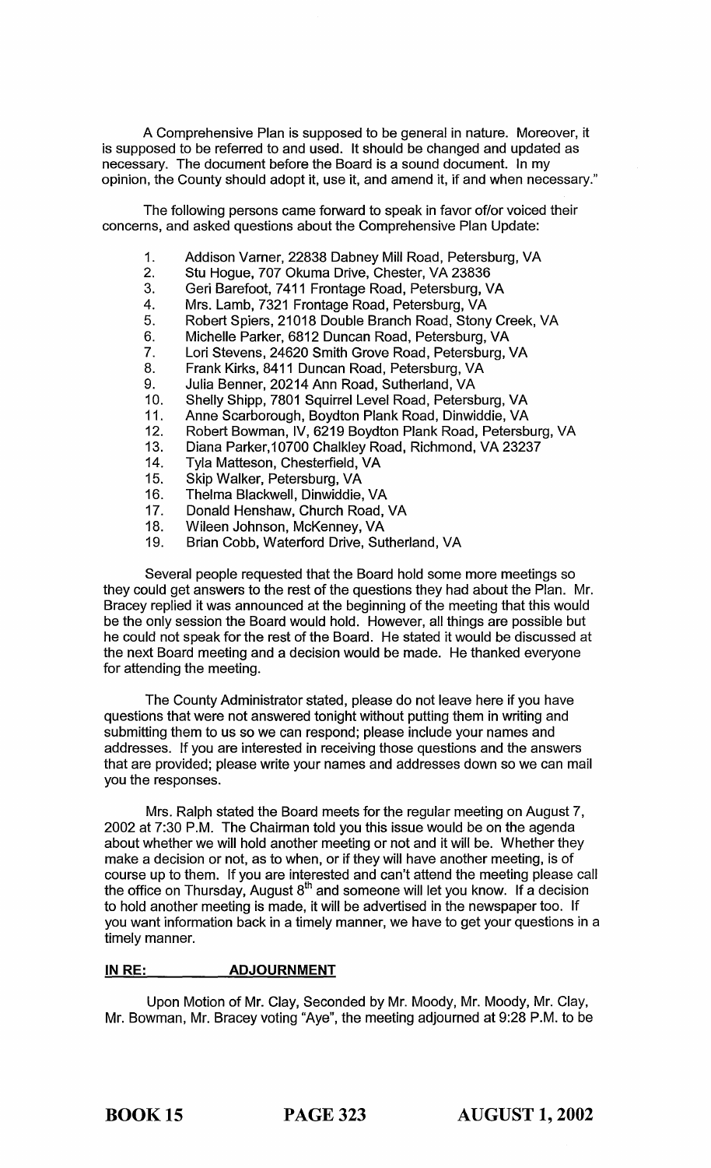A Comprehensive Plan is supposed to be general in nature. Moreover, it is supposed to be referred to and used. It should be changed and updated as necessary. The document before the Board is a sound document. In my opinion, the County should adopt it, use it, and amend it, if and when necessary."

The following persons came forward to speak in favor of/or voiced their concerns, and asked questions about the Comprehensive Plan Update:

- 1. Addison Varner, 22838 Dabney Mill Road, Petersburg, VA<br>2. Stu Hoque, 707 Okuma Drive, Chester, VA 23836
- 2. Stu Hogue, 707 Okuma Drive, Chester, VA 23836<br>3. Geri Barefoot. 7411 Frontage Road. Petersburg. V
- 3. Geri Barefoot, 7411 Frontage Road, Petersburg, VA<br>4. Mrs. Lamb. 7321 Frontage Road, Petersburg, VA
- 4. Mrs. Lamb, 7321 Frontage Road, Petersburg, VA<br>5. Robert Spiers. 21018 Double Branch Road. Stony
- 5. Robert Spiers, 21018 Double Branch Road, Stony Creek, VA
- 6. Michelle Parker, 6812 Duncan Road, Petersburg, VA
- 7. Lori Stevens, 24620 Smith Grove Road, Petersburg, VA<br>8. Frank Kirks, 8411 Duncan Road, Petersburg, VA
- 8. Frank Kirks, 8411 Duncan Road, Petersburg, VA
- 9. Julia Benner, 20214 Ann Road, Sutherland, VA
- 10. Shelly Shipp, 7801 Squirrel Level Road, Petersburg, VA<br>11. Anne Scarborough, Boydton Plank Road, Dinwiddie, VA
- 11. Anne Scarborough, Boydton Plank Road, Dinwiddie, VA<br>12. Robert Bowman. IV. 6219 Boydton Plank Road, Petersb
- 12. Robert Bowman, IV, 6219 Boydton Plank Road, Petersburg, VA<br>13. Diana Parker.10700 Chalklev Road. Richmond. VA 23237
- 13. Diana Parker, 10700 Chalkley Road, Richmond, VA 23237<br>14. Tyla Matteson, Chesterfield, VA
- 14. Tyla Matteson, Chesterfield, VA<br>15. Skip Walker, Petersburg, VA
- Skip Walker, Petersburg, VA
- 16. Thelma Blackwell, Dinwiddie, VA
- 17. Donald Henshaw, Church Road, VA
- 18. Wileen Johnson, McKenney, VA
- 19. Brian Cobb, Waterford Drive, Sutherland, VA

Several people requested that the Board hold some more meetings so they could get answers to the rest of the questions they had about the Plan. Mr. Bracey replied it was announced at the beginning of the meeting that this would be the only session the Board would hold. However, all things are possible but he could not speak for the rest of the Board. He stated it would be discussed at the next Board meeting and a decision would be made. He thanked everyone for attending the meeting.

The County Administrator stated, please do not leave here if you have questions that were not answered tonight without putting them in writing and submitting them to us so we can respond; please include your names and addresses. If you are interested in receiving those questions and the answers that are provided; please write your names and addresses down so we can mail you the responses.

Mrs. Ralph stated the Board meets for the regular meeting on August 7, 2002 at 7:30 P.M. The Chairman told you this issue would be on the agenda about whether we will hold another meeting or not and it will be. Whether they make a decision or not, as to when, or if they will have another meeting, is of course up to them. If you are interested and can't attend the meeting please call the office on Thursday, August  $8<sup>th</sup>$  and someone will let you know. If a decision to hold another meeting is made, it will be advertised in the newspaper too. If you want information back in a timely manner, we have to get your questions in a timely manner.

### IN RE: **ADJOURNMENT**

Upon Motion of Mr. Clay, Seconded by Mr. Moody, Mr. Moody, Mr. Clay, Mr. Bowman, Mr. Bracey voting "Aye", the meeting adjourned at 9:28 P.M. to be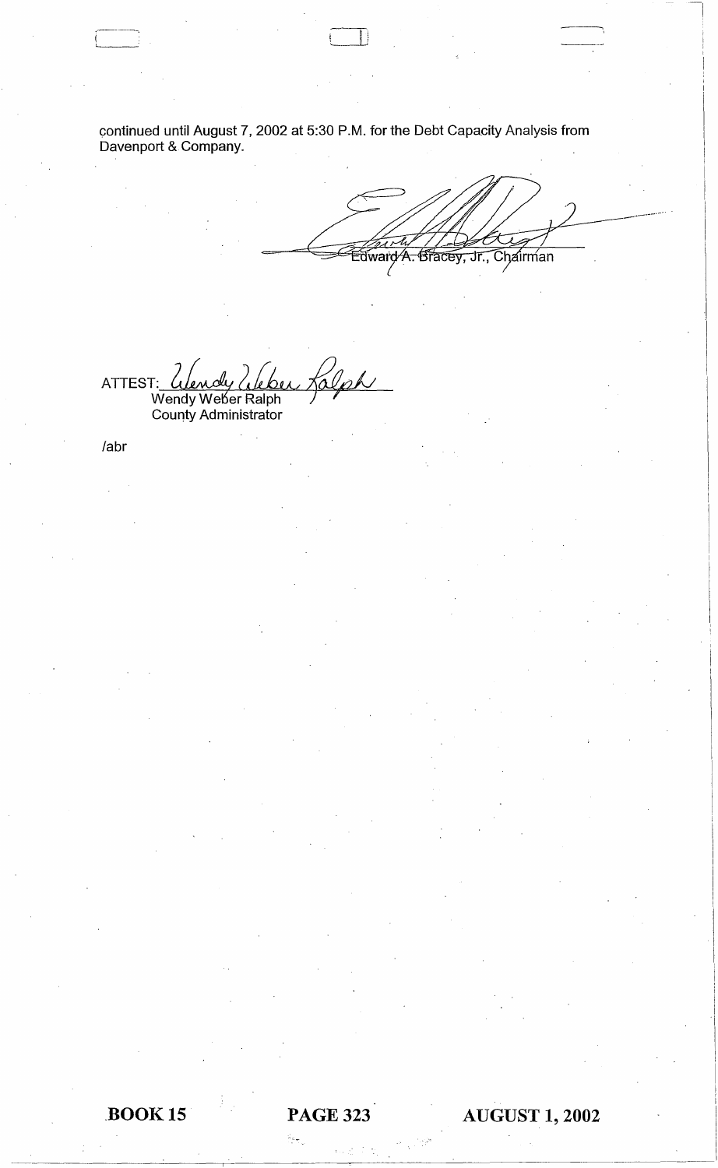continued until August 7, 2002 at 5:30 P.M. for the Debt Capacity Analysis from<br>Davenport & Company.

Edward A. Bracey, Jr., Chairman

falch ATTEST: Wendy Weber Ralph<br>County Administrator

/abr

# **BOOK 15**

## **PAGE 323**

 $\frac{1}{2}$ 

**AUGUST 1, 2002**